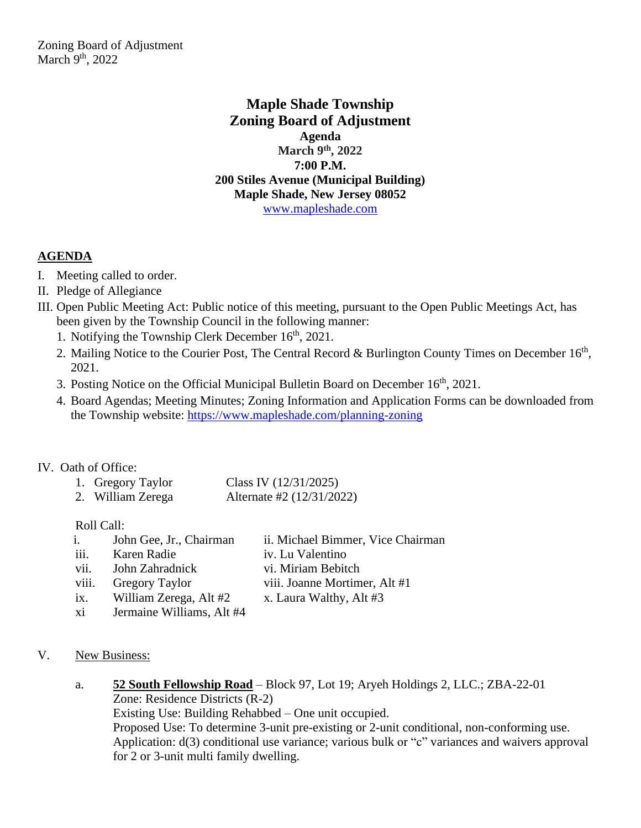Zoning Board of Adjustment March 9<sup>th</sup>, 2022

> **Maple Shade Township Zoning Board of Adjustment Agenda March 9 th, 2022 7:00 P.M. 200 Stiles Avenue (Municipal Building) Maple Shade, New Jersey 08052** [www.mapleshade.com](http://www.mapleshade.com/)

## **AGENDA**

- I. Meeting called to order.
- II. Pledge of Allegiance
- III. Open Public Meeting Act: Public notice of this meeting, pursuant to the Open Public Meetings Act, has been given by the Township Council in the following manner:
	- 1. Notifying the Township Clerk December 16<sup>th</sup>, 2021.
	- 2. Mailing Notice to the Courier Post, The Central Record & Burlington County Times on December 16<sup>th</sup>, 2021.
	- 3. Posting Notice on the Official Municipal Bulletin Board on December 16<sup>th</sup>, 2021.
	- 4. Board Agendas; Meeting Minutes; Zoning Information and Application Forms can be downloaded from the Township website:<https://www.mapleshade.com/planning-zoning>

## IV. Oath of Office:

| 1. Gregory Taylor | Class IV $(12/31/2025)$   |
|-------------------|---------------------------|
| 2. William Zerega | Alternate #2 (12/31/2022) |

## Roll Call:

- i. John Gee, Jr., Chairman ii. Michael Bimmer, Vice Chairman iii. Karen Radie iv. Lu Valentino vii. John Zahradnick vi. Miriam Bebitch viii. Gregory Taylor viii. Joanne Mortimer, Alt #1 ix. William Zerega, Alt  $#2$  x. Laura Walthy, Alt  $#3$
- xi Jermaine Williams, Alt #4
- V. New Business:
	- a. **52 South Fellowship Road** Block 97, Lot 19; Aryeh Holdings 2, LLC.; ZBA-22-01 Zone: Residence Districts (R-2) Existing Use: Building Rehabbed – One unit occupied. Proposed Use: To determine 3-unit pre-existing or 2-unit conditional, non-conforming use. Application: d(3) conditional use variance; various bulk or "c" variances and waivers approval for 2 or 3-unit multi family dwelling.